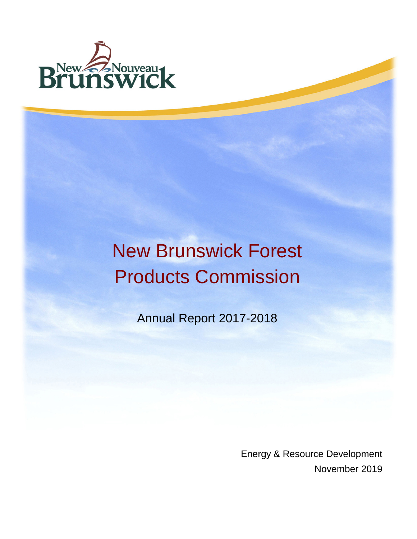

# New Brunswick Forest Products Commission

Annual Report 2017-2018

Energy & Resource Development November 2019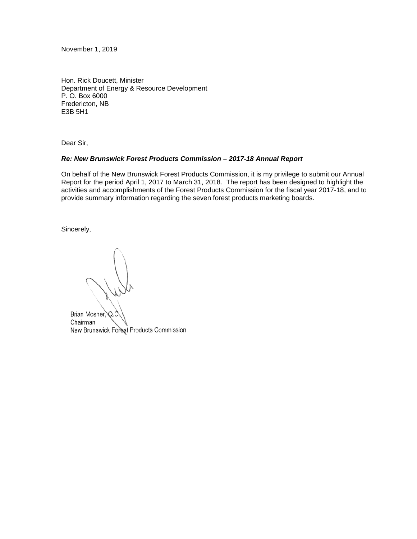November 1, 2019

Hon. Rick Doucett, Minister Department of Energy & Resource Development P. O. Box 6000 Fredericton, NB E3B 5H1

Dear Sir,

#### *Re: New Brunswick Forest Products Commission – 2017-18 Annual Report*

On behalf of the New Brunswick Forest Products Commission, it is my privilege to submit our Annual Report for the period April 1, 2017 to March 31, 2018. The report has been designed to highlight the activities and accomplishments of the Forest Products Commission for the fiscal year 2017-18, and to provide summary information regarding the seven forest products marketing boards.

Sincerely,

Brian Mosher, Q.C Chairman New Brunswick Forest Products Commission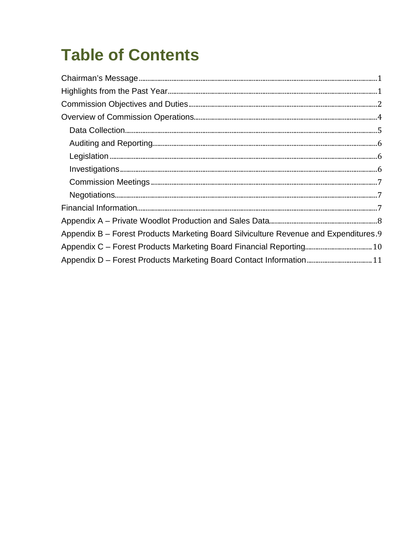# **Table of Contents**

| Appendix B - Forest Products Marketing Board Silviculture Revenue and Expenditures.9 |  |
|--------------------------------------------------------------------------------------|--|
|                                                                                      |  |
|                                                                                      |  |
|                                                                                      |  |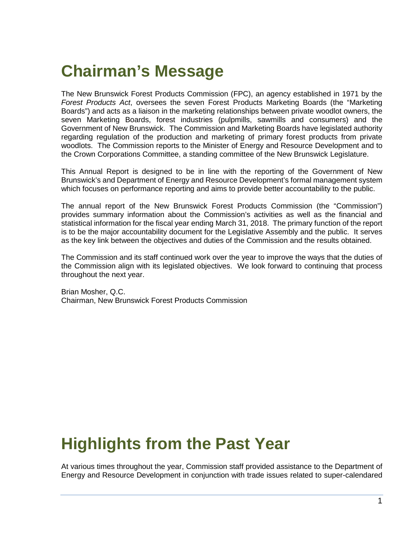# <span id="page-3-0"></span>**Chairman's Message**

The New Brunswick Forest Products Commission (FPC), an agency established in 1971 by the *Forest Products Act*, oversees the seven Forest Products Marketing Boards (the "Marketing Boards") and acts as a liaison in the marketing relationships between private woodlot owners, the seven Marketing Boards, forest industries (pulpmills, sawmills and consumers) and the Government of New Brunswick. The Commission and Marketing Boards have legislated authority regarding regulation of the production and marketing of primary forest products from private woodlots. The Commission reports to the Minister of Energy and Resource Development and to the Crown Corporations Committee, a standing committee of the New Brunswick Legislature.

This Annual Report is designed to be in line with the reporting of the Government of New Brunswick's and Department of Energy and Resource Development's formal management system which focuses on performance reporting and aims to provide better accountability to the public.

The annual report of the New Brunswick Forest Products Commission (the "Commission") provides summary information about the Commission's activities as well as the financial and statistical information for the fiscal year ending March 31, 2018. The primary function of the report is to be the major accountability document for the Legislative Assembly and the public. It serves as the key link between the objectives and duties of the Commission and the results obtained.

The Commission and its staff continued work over the year to improve the ways that the duties of the Commission align with its legislated objectives. We look forward to continuing that process throughout the next year.

Brian Mosher, Q.C. Chairman, New Brunswick Forest Products Commission

# <span id="page-3-1"></span>**Highlights from the Past Year**

At various times throughout the year, Commission staff provided assistance to the Department of Energy and Resource Development in conjunction with trade issues related to super-calendared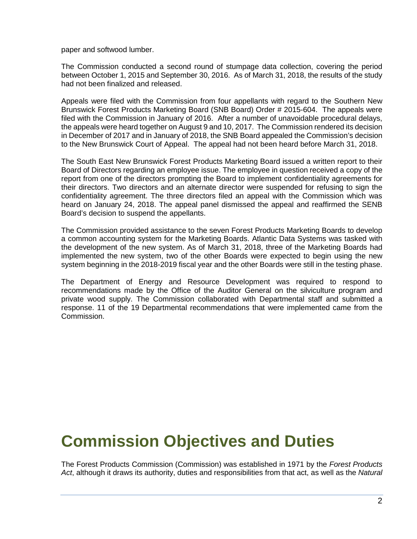paper and softwood lumber.

The Commission conducted a second round of stumpage data collection, covering the period between October 1, 2015 and September 30, 2016. As of March 31, 2018, the results of the study had not been finalized and released.

Appeals were filed with the Commission from four appellants with regard to the Southern New Brunswick Forest Products Marketing Board (SNB Board) Order # 2015-604. The appeals were filed with the Commission in January of 2016. After a number of unavoidable procedural delays, the appeals were heard together on August 9 and 10, 2017. The Commission rendered its decision in December of 2017 and in January of 2018, the SNB Board appealed the Commission's decision to the New Brunswick Court of Appeal. The appeal had not been heard before March 31, 2018.

The South East New Brunswick Forest Products Marketing Board issued a written report to their Board of Directors regarding an employee issue. The employee in question received a copy of the report from one of the directors prompting the Board to implement confidentiality agreements for their directors. Two directors and an alternate director were suspended for refusing to sign the confidentiality agreement. The three directors filed an appeal with the Commission which was heard on January 24, 2018. The appeal panel dismissed the appeal and reaffirmed the SENB Board's decision to suspend the appellants.

The Commission provided assistance to the seven Forest Products Marketing Boards to develop a common accounting system for the Marketing Boards. Atlantic Data Systems was tasked with the development of the new system. As of March 31, 2018, three of the Marketing Boards had implemented the new system, two of the other Boards were expected to begin using the new system beginning in the 2018-2019 fiscal year and the other Boards were still in the testing phase.

The Department of Energy and Resource Development was required to respond to recommendations made by the Office of the Auditor General on the silviculture program and private wood supply. The Commission collaborated with Departmental staff and submitted a response. 11 of the 19 Departmental recommendations that were implemented came from the Commission.

### <span id="page-4-0"></span>**Commission Objectives and Duties**

The Forest Products Commission (Commission) was established in 1971 by the *Forest Products Act*, although it draws its authority, duties and responsibilities from that act, as well as the *Natural*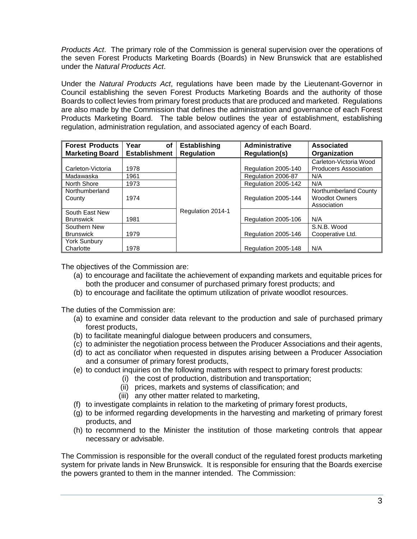*Products Act*. The primary role of the Commission is general supervision over the operations of the seven Forest Products Marketing Boards (Boards) in New Brunswick that are established under the *Natural Products Act*.

Under the *Natural Products Act*, regulations have been made by the Lieutenant-Governor in Council establishing the seven Forest Products Marketing Boards and the authority of those Boards to collect levies from primary forest products that are produced and marketed. Regulations are also made by the Commission that defines the administration and governance of each Forest Products Marketing Board. The table below outlines the year of establishment, establishing regulation, administration regulation, and associated agency of each Board.

| <b>Forest Products</b><br><b>Marketing Board</b> | Year<br>οf<br><b>Establishment</b> | <b>Establishing</b><br><b>Regulation</b> | Administrative<br><b>Regulation(s)</b> | <b>Associated</b><br>Organization |
|--------------------------------------------------|------------------------------------|------------------------------------------|----------------------------------------|-----------------------------------|
|                                                  |                                    |                                          |                                        | Carleton-Victoria Wood            |
| Carleton-Victoria                                | 1978                               |                                          | Regulation 2005-140                    | <b>Producers Association</b>      |
| Madawaska                                        | 1961                               |                                          | Regulation 2006-87                     | N/A                               |
| North Shore                                      | 1973                               |                                          | Regulation 2005-142                    | N/A                               |
| Northumberland                                   |                                    |                                          |                                        | Northumberland County             |
| County                                           | 1974                               |                                          | Regulation 2005-144                    | <b>Woodlot Owners</b>             |
|                                                  |                                    |                                          |                                        | Association                       |
| South East New                                   |                                    | Regulation 2014-1                        |                                        |                                   |
| <b>Brunswick</b>                                 | 1981                               |                                          | Regulation 2005-106                    | N/A                               |
| Southern New                                     |                                    |                                          |                                        | S.N.B. Wood                       |
| <b>Brunswick</b>                                 | 1979                               |                                          | Regulation 2005-146                    | Cooperative Ltd.                  |
| <b>York Sunbury</b>                              |                                    |                                          |                                        |                                   |
| Charlotte                                        | 1978                               |                                          | Regulation 2005-148                    | N/A                               |

The objectives of the Commission are:

- (a) to encourage and facilitate the achievement of expanding markets and equitable prices for both the producer and consumer of purchased primary forest products; and
- (b) to encourage and facilitate the optimum utilization of private woodlot resources.

The duties of the Commission are:

- (a) to examine and consider data relevant to the production and sale of purchased primary forest products,
- (b) to facilitate meaningful dialogue between producers and consumers,
- (c) to administer the negotiation process between the Producer Associations and their agents,
- (d) to act as conciliator when requested in disputes arising between a Producer Association and a consumer of primary forest products,
- (e) to conduct inquiries on the following matters with respect to primary forest products:
	- (i) the cost of production, distribution and transportation;
		- (ii) prices, markets and systems of classification; and
	- (iii) any other matter related to marketing,
- (f) to investigate complaints in relation to the marketing of primary forest products,
- (g) to be informed regarding developments in the harvesting and marketing of primary forest products, and
- (h) to recommend to the Minister the institution of those marketing controls that appear necessary or advisable.

The Commission is responsible for the overall conduct of the regulated forest products marketing system for private lands in New Brunswick. It is responsible for ensuring that the Boards exercise the powers granted to them in the manner intended. The Commission: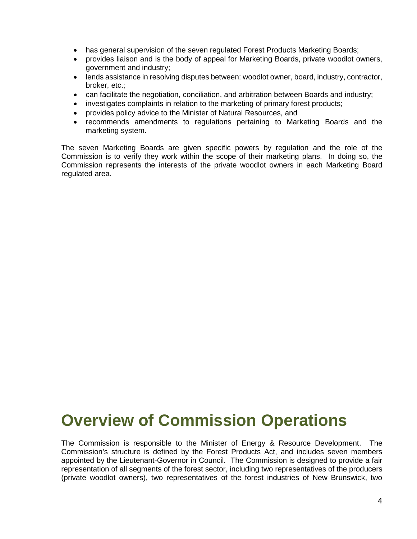- has general supervision of the seven regulated Forest Products Marketing Boards;
- provides liaison and is the body of appeal for Marketing Boards, private woodlot owners, government and industry;
- lends assistance in resolving disputes between: woodlot owner, board, industry, contractor, broker, etc.;
- can facilitate the negotiation, conciliation, and arbitration between Boards and industry;
- investigates complaints in relation to the marketing of primary forest products;
- provides policy advice to the Minister of Natural Resources, and
- recommends amendments to regulations pertaining to Marketing Boards and the marketing system.

<span id="page-6-0"></span>The seven Marketing Boards are given specific powers by regulation and the role of the Commission is to verify they work within the scope of their marketing plans. In doing so, the Commission represents the interests of the private woodlot owners in each Marketing Board regulated area.

### **Overview of Commission Operations**

The Commission is responsible to the Minister of Energy & Resource Development. The Commission's structure is defined by the Forest Products Act, and includes seven members appointed by the Lieutenant-Governor in Council. The Commission is designed to provide a fair representation of all segments of the forest sector, including two representatives of the producers (private woodlot owners), two representatives of the forest industries of New Brunswick, two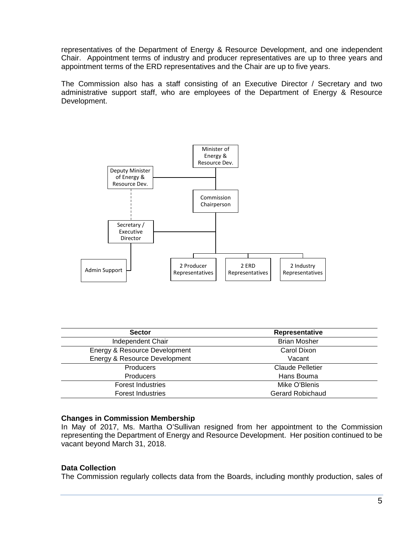representatives of the Department of Energy & Resource Development, and one independent Chair. Appointment terms of industry and producer representatives are up to three years and appointment terms of the ERD representatives and the Chair are up to five years.

The Commission also has a staff consisting of an Executive Director / Secretary and two administrative support staff, who are employees of the Department of Energy & Resource Development.



| <b>Sector</b>                 | Representative          |
|-------------------------------|-------------------------|
| Independent Chair             | <b>Brian Mosher</b>     |
| Energy & Resource Development | Carol Dixon             |
| Energy & Resource Development | Vacant                  |
| Producers                     | Claude Pelletier        |
| Producers                     | Hans Bouma              |
| <b>Forest Industries</b>      | Mike O'Blenis           |
| <b>Forest Industries</b>      | <b>Gerard Robichaud</b> |

#### **Changes in Commission Membership**

In May of 2017, Ms. Martha O'Sullivan resigned from her appointment to the Commission representing the Department of Energy and Resource Development. Her position continued to be vacant beyond March 31, 2018.

#### <span id="page-7-0"></span>**Data Collection**

The Commission regularly collects data from the Boards, including monthly production, sales of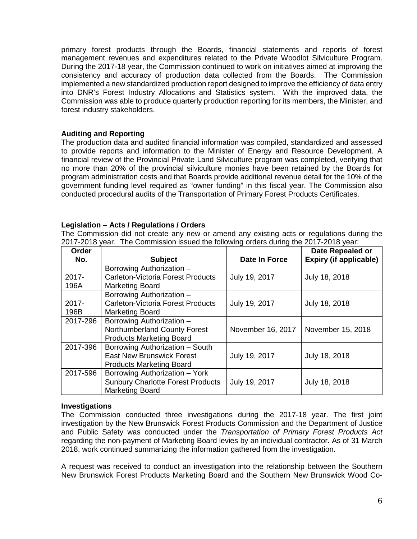primary forest products through the Boards, financial statements and reports of forest management revenues and expenditures related to the Private Woodlot Silviculture Program. During the 2017-18 year, the Commission continued to work on initiatives aimed at improving the consistency and accuracy of production data collected from the Boards. The Commission implemented a new standardized production report designed to improve the efficiency of data entry into DNR's Forest Industry Allocations and Statistics system. With the improved data, the Commission was able to produce quarterly production reporting for its members, the Minister, and forest industry stakeholders.

### <span id="page-8-0"></span>**Auditing and Reporting**

The production data and audited financial information was compiled, standardized and assessed to provide reports and information to the Minister of Energy and Resource Development. A financial review of the Provincial Private Land Silviculture program was completed, verifying that no more than 20% of the provincial silviculture monies have been retained by the Boards for program administration costs and that Boards provide additional revenue detail for the 10% of the government funding level required as "owner funding" in this fiscal year. The Commission also conducted procedural audits of the Transportation of Primary Forest Products Certificates.

### <span id="page-8-1"></span>**Legislation – Acts / Regulations / Orders**

The Commission did not create any new or amend any existing acts or regulations during the 2017-2018 year. The Commission issued the following orders during the 2017-2018 year:

| Order    |                                          |                   | Date Repealed or              |
|----------|------------------------------------------|-------------------|-------------------------------|
| No.      | <b>Subject</b>                           | Date In Force     | <b>Expiry (if applicable)</b> |
|          | Borrowing Authorization -                |                   |                               |
| $2017 -$ | <b>Carleton-Victoria Forest Products</b> | July 19, 2017     | July 18, 2018                 |
| 196A     | Marketing Board                          |                   |                               |
|          | Borrowing Authorization -                |                   |                               |
| $2017 -$ | <b>Carleton-Victoria Forest Products</b> | July 19, 2017     | July 18, 2018                 |
| 196B     | <b>Marketing Board</b>                   |                   |                               |
| 2017-296 | Borrowing Authorization -                |                   |                               |
|          | Northumberland County Forest             | November 16, 2017 | November 15, 2018             |
|          | <b>Products Marketing Board</b>          |                   |                               |
| 2017-396 | Borrowing Authorization - South          |                   |                               |
|          | <b>East New Brunswick Forest</b>         | July 19, 2017     | July 18, 2018                 |
|          | <b>Products Marketing Board</b>          |                   |                               |
| 2017-596 | Borrowing Authorization - York           |                   |                               |
|          | <b>Sunbury Charlotte Forest Products</b> | July 19, 2017     | July 18, 2018                 |
|          | <b>Marketing Board</b>                   |                   |                               |

### <span id="page-8-2"></span>**Investigations**

The Commission conducted three investigations during the 2017-18 year. The first joint investigation by the New Brunswick Forest Products Commission and the Department of Justice and Public Safety was conducted under the *Transportation of Primary Forest Products Act* regarding the non-payment of Marketing Board levies by an individual contractor. As of 31 March 2018, work continued summarizing the information gathered from the investigation.

A request was received to conduct an investigation into the relationship between the Southern New Brunswick Forest Products Marketing Board and the Southern New Brunswick Wood Co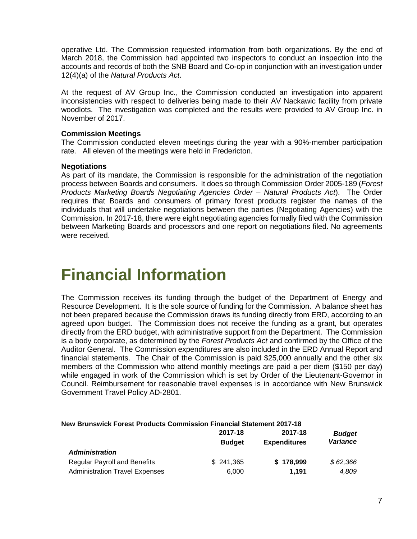operative Ltd. The Commission requested information from both organizations. By the end of March 2018, the Commission had appointed two inspectors to conduct an inspection into the accounts and records of both the SNB Board and Co-op in conjunction with an investigation under 12(4)(a) of the *Natural Products Act*.

At the request of AV Group Inc., the Commission conducted an investigation into apparent inconsistencies with respect to deliveries being made to their AV Nackawic facility from private woodlots. The investigation was completed and the results were provided to AV Group Inc. in November of 2017.

### <span id="page-9-0"></span>**Commission Meetings**

The Commission conducted eleven meetings during the year with a 90%-member participation rate. All eleven of the meetings were held in Fredericton.

### <span id="page-9-1"></span>**Negotiations**

As part of its mandate, the Commission is responsible for the administration of the negotiation process between Boards and consumers. It does so through Commission Order 2005-189 (*Forest Products Marketing Boards Negotiating Agencies Order – Natural Products Act*). The Order requires that Boards and consumers of primary forest products register the names of the individuals that will undertake negotiations between the parties (Negotiating Agencies) with the Commission. In 2017-18, there were eight negotiating agencies formally filed with the Commission between Marketing Boards and processors and one report on negotiations filed. No agreements were received.

### <span id="page-9-2"></span>**Financial Information**

The Commission receives its funding through the budget of the Department of Energy and Resource Development. It is the sole source of funding for the Commission. A balance sheet has not been prepared because the Commission draws its funding directly from ERD, according to an agreed upon budget. The Commission does not receive the funding as a grant, but operates directly from the ERD budget, with administrative support from the Department. The Commission is a body corporate, as determined by the *Forest Products Act* and confirmed by the Office of the Auditor General. The Commission expenditures are also included in the ERD Annual Report and financial statements. The Chair of the Commission is paid \$25,000 annually and the other six members of the Commission who attend monthly meetings are paid a per diem (\$150 per day) while engaged in work of the Commission which is set by Order of the Lieutenant-Governor in Council. Reimbursement for reasonable travel expenses is in accordance with New Brunswick Government Travel Policy AD-2801.

### **2017-18 2017-18** *Budget*  **Budget Expenditures** *Administration* Regular Payroll and Benefits \$ 241,365 **\$ 178,999** *\$ 62,366* Administration Travel Expenses 6,000 **1,191** *4,809*

#### **New Brunswick Forest Products Commission Financial Statement 2017-18**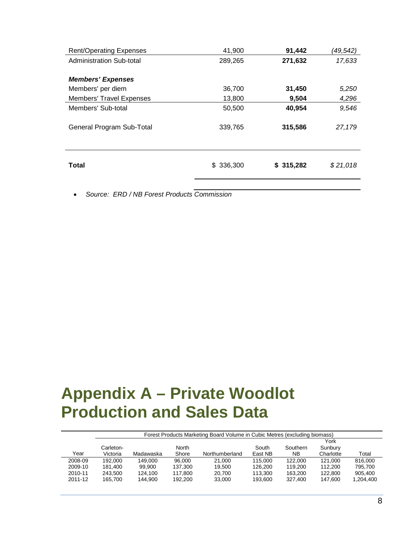| <b>Rent/Operating Expenses</b>  | 41,900    | 91,442    | (49,542) |
|---------------------------------|-----------|-----------|----------|
| Administration Sub-total        | 289,265   | 271,632   | 17,633   |
|                                 |           |           |          |
| <b>Members' Expenses</b>        |           |           |          |
| Members' per diem               | 36,700    | 31,450    | 5,250    |
| <b>Members' Travel Expenses</b> | 13,800    | 9,504     | 4,296    |
| Members' Sub-total              | 50,500    | 40,954    | 9,546    |
| General Program Sub-Total       | 339,765   | 315,586   | 27,179   |
| Total                           | \$336,300 | \$315,282 | \$21,018 |
|                                 |           |           |          |

<span id="page-10-0"></span>• *Source: ERD / NB Forest Products Commission*

# **Appendix A – Private Woodlot Production and Sales Data**

|         |           | Forest Products Marketing Board Volume in Cubic Metres (excluding biomass) |              |                |         |           |           |           |  |  |
|---------|-----------|----------------------------------------------------------------------------|--------------|----------------|---------|-----------|-----------|-----------|--|--|
|         |           |                                                                            |              |                |         |           | York      |           |  |  |
|         | Carleton- |                                                                            | <b>North</b> |                | South   | Southern  | Sunbury   |           |  |  |
| Year    | Victoria  | Madawaska                                                                  | Shore        | Northumberland | East NB | <b>NB</b> | Charlotte | Total     |  |  |
| 2008-09 | 192.000   | 149.000                                                                    | 96.000       | 21.000         | 115,000 | 122.000   | 121.000   | 816,000   |  |  |
| 2009-10 | 181.400   | 99.900                                                                     | 137.300      | 19.500         | 126.200 | 119,200   | 112.200   | 795.700   |  |  |
| 2010-11 | 243.500   | 124.100                                                                    | 117.800      | 20.700         | 113.300 | 163.200   | 122,800   | 905,400   |  |  |
| 2011-12 | 165.700   | 144.900                                                                    | 192.200      | 33,000         | 193.600 | 327.400   | 147.600   | 1,204,400 |  |  |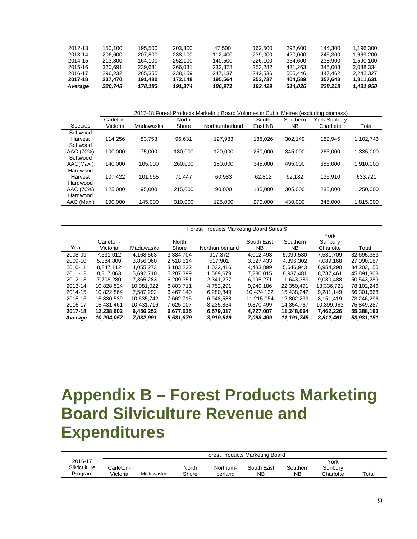| 2012-13 | 150.100 | 195.500 | 203.800 | 47.500  | 162.500 | 292.600 | 144,300 | 1.196.300 |
|---------|---------|---------|---------|---------|---------|---------|---------|-----------|
| 2013-14 | 206.600 | 207.800 | 238.100 | 112.400 | 239.000 | 420,000 | 245.300 | 1.669.200 |
| 2014-15 | 213.800 | 164.100 | 252.100 | 140.500 | 226.100 | 354.600 | 238,900 | 1.590.100 |
| 2015-16 | 320.691 | 239.681 | 266.031 | 232.378 | 253.282 | 431.263 | 345,008 | 2.088.334 |
| 2016-17 | 296.232 | 265.355 | 238.159 | 247.137 | 242.536 | 505.446 | 447.462 | 2.242.327 |
| 2017-18 | 237.470 | 191.480 | 172.148 | 195.564 | 252.737 | 404.589 | 357.643 | 1.811.631 |
| Average | 220.748 | 178.183 | 191.374 | 106.971 | 192.429 | 314.026 | 228.218 | 1,431,950 |

|                |           |           |         | 2017-18 Forest Products Marketing Board Volumes in Cubic Metres (excluding biomass) |         |           |              |           |
|----------------|-----------|-----------|---------|-------------------------------------------------------------------------------------|---------|-----------|--------------|-----------|
|                | Carleton- |           | North   |                                                                                     | South   | Southern  | York Sunbury |           |
| <b>Species</b> | Victoria  | Madawaska | Shore   | Northumberland                                                                      | East NB | <b>NB</b> | Charlotte    | Total     |
| Softwood       |           |           |         |                                                                                     |         |           |              |           |
| Harvest        | 114.256   | 83.753    | 96.631  | 127.983                                                                             | 188.026 | 302.149   | 189.945      | 1.102.743 |
| Softwood       |           |           |         |                                                                                     |         |           |              |           |
| AAC (70%)      | 100.000   | 75.000    | 180.000 | 120.000                                                                             | 250.000 | 345,000   | 265.000      | 1,335,000 |
| Softwood       |           |           |         |                                                                                     |         |           |              |           |
| AAC(Max.)      | 140.000   | 105.000   | 260,000 | 180.000                                                                             | 345.000 | 495.000   | 385.000      | 1.910.000 |
| Hardwood       |           |           |         |                                                                                     |         |           |              |           |
| Harvest        | 107.422   | 101.965   | 71.447  | 60.983                                                                              | 62.812  | 92.182    | 136.910      | 633.721   |
| Hardwood       |           |           |         |                                                                                     |         |           |              |           |
| AAC (70%)      | 125.000   | 95.000    | 215.000 | 90.000                                                                              | 185.000 | 305,000   | 235.000      | 1.250.000 |
| Hardwood       |           |           |         |                                                                                     |         |           |              |           |
| AAC (Max.)     | 190,000   | 145,000   | 310,000 | 125,000                                                                             | 270.000 | 430,000   | 345,000      | 1,815,000 |

|         | Forest Products Marketing Board Sales \$ |            |              |                |            |            |            |            |  |  |
|---------|------------------------------------------|------------|--------------|----------------|------------|------------|------------|------------|--|--|
|         |                                          |            |              |                |            |            | York       |            |  |  |
|         | Carleton-                                |            | <b>North</b> |                | South East | Southern   | Sunbury    |            |  |  |
| Year    | Victoria                                 | Madawaska  | Shore        | Northumberland | NB.        | NB.        | Charlotte  | Total      |  |  |
| 2008-09 | 7.531.012                                | 4.168.563  | 3.384.704    | 917.372        | 4.012.493  | 5.099.530  | 7.581.709  | 32.695.383 |  |  |
| 2009-10 | 5,384,809                                | 3,856,060  | 2.518.514    | 517.901        | 3.327.433  | 4,396,302  | 7,089,168  | 27,090,187 |  |  |
| 2010-11 | 8.847.112                                | 4.055.273  | 3.183.222    | 1.032.416      | 4.483.899  | 5.646.943  | 6.954.290  | 34.203.155 |  |  |
| 2011-12 | 8.317.063                                | 5.692.710  | 5,287,399    | 1.589.679      | 7.280.015  | 8.937.481  | 8.787.461  | 45,891,808 |  |  |
| 2012-13 | 7.708.280                                | 7.365.283  | 6.209.351    | 2.341.227      | 6.195.271  | 11.643.389 | 9.080.488  | 50,543,289 |  |  |
| 2013-14 | 10.828.824                               | 10,081,022 | 6,803,711    | 4.752.291      | 9.949.186  | 22,350,491 | 13,336,721 | 78,102,246 |  |  |
| 2014-15 | 10.822.864                               | 7.587.292  | 6.467.140    | 6.280.849      | 10.424.132 | 15.438.242 | 9.281.149  | 66.301.668 |  |  |
| 2015-16 | 15.830.539                               | 10.635.742 | 7.662.715    | 6,948,588      | 11,215,054 | 12.802.239 | 8.151.419  | 73,246,296 |  |  |
| 2016-17 | 15,431,461                               | 10,431,716 | 7,625,007    | 8,235,854      | 9,370,499  | 14,354,767 | 10,399,983 | 75,849,287 |  |  |
| 2017-18 | 12,238,602                               | 6,456,252  | 6,677,025    | 6,579,017      | 4.727.007  | 11,248,064 | 7,462,226  | 55,388,193 |  |  |
| Average | 10,294,057                               | 7,032,991  | 5,581,879    | 3,919,519      | 7,098,499  | 11,191,745 | 8,812,461  | 53,931,151 |  |  |

# <span id="page-11-0"></span>**Appendix B – Forest Products Marketing Board Silviculture Revenue and Expenditures**

|              |           |           |       |          | Forest Products Marketing Board |          |           |       |
|--------------|-----------|-----------|-------|----------|---------------------------------|----------|-----------|-------|
| 2016-17      |           |           |       |          |                                 |          | York      |       |
| Silviculture | Carleton- |           | North | Northum- | South East                      | Southern | Sunburv   |       |
| Program      | Victoria  | Madawaska | Shore | berland  | <b>NB</b>                       | ΝB       | Charlotte | Total |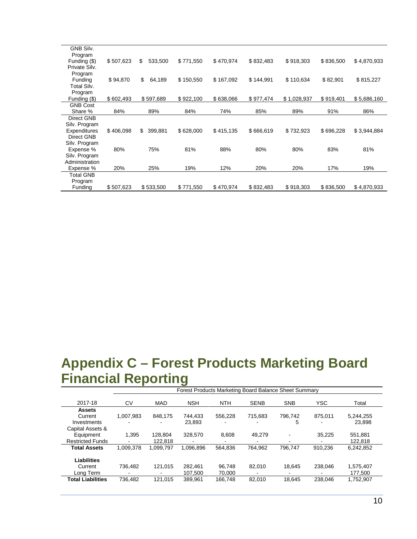| GNB Silv.               |           |                |           |           |           |             |           |             |
|-------------------------|-----------|----------------|-----------|-----------|-----------|-------------|-----------|-------------|
| Program<br>Funding (\$) | \$507,623 | \$<br>533,500  | \$771,550 | \$470,974 | \$832,483 | \$918,303   | \$836,500 | \$4,870,933 |
| Private Silv.           |           |                |           |           |           |             |           |             |
| Program                 |           |                |           |           |           |             |           |             |
| Funding                 | \$94,870  | \$<br>64,189   | \$150,550 | \$167,092 | \$144,991 | \$110,634   | \$82,901  | \$815,227   |
| Total Silv.             |           |                |           |           |           |             |           |             |
| Program                 |           |                |           |           |           |             |           |             |
| Funding (\$)            | \$602,493 | \$597,689      | \$922,100 | \$638,066 | \$977,474 | \$1,028,937 | \$919,401 | \$5,686,160 |
| <b>GNB Cost</b>         |           |                |           |           |           |             |           |             |
| Share %                 | 84%       | 89%            | 84%       | 74%       | 85%       | 89%         | 91%       | 86%         |
| Direct GNB              |           |                |           |           |           |             |           |             |
| Silv. Program           |           |                |           |           |           |             |           |             |
| Expenditures            | \$406,098 | \$.<br>399,881 | \$628,000 | \$415,135 | \$666,619 | \$732,923   | \$696,228 | \$3,944,884 |
| Direct GNB              |           |                |           |           |           |             |           |             |
| Silv. Program           |           |                |           |           |           |             |           |             |
| Expense %               | 80%       | 75%            | 81%       | 88%       | 80%       | 80%         | 83%       | 81%         |
| Silv. Program           |           |                |           |           |           |             |           |             |
| Administration          |           |                |           |           |           |             |           |             |
| Expense %               | 20%       | 25%            | 19%       | 12%       | 20%       | 20%         | 17%       | 19%         |
| <b>Total GNB</b>        |           |                |           |           |           |             |           |             |
| Program                 |           |                |           |           |           |             |           |             |
| Funding                 | \$507,623 | \$533,500      | \$771,550 | \$470,974 | \$832,483 | \$918,303   | \$836,500 | \$4,870,933 |

### <span id="page-12-0"></span>**Appendix C – Forest Products Marketing Board Financial Reporting**

|                          | Forest Products Marketing Board Balance Sheet Summary |            |            |            |             |            |                          |           |
|--------------------------|-------------------------------------------------------|------------|------------|------------|-------------|------------|--------------------------|-----------|
| 2017-18                  | CV                                                    | <b>MAD</b> | <b>NSH</b> | <b>NTH</b> | <b>SENB</b> | <b>SNB</b> | <b>YSC</b>               | Total     |
| <b>Assets</b>            |                                                       |            |            |            |             |            |                          |           |
| Current                  | 1,007,983                                             | 848.175    | 744.433    | 556,228    | 715.683     | 796.742    | 875.011                  | 5,244,255 |
| Investments              |                                                       |            | 23,893     |            |             | 5          |                          | 23,898    |
| Capital Assets &         |                                                       |            |            |            |             |            |                          |           |
| Equipment                | 1.395                                                 | 128.804    | 328,570    | 8.608      | 49.279      | ۰          | 35.225                   | 551,881   |
| <b>Restricted Funds</b>  |                                                       | 122.818    |            |            |             |            |                          | 122,818   |
| <b>Total Assets</b>      | 1.009.378                                             | 1.099.797  | 1.096.896  | 564.836    | 764.962     | 796.747    | 910.236                  | 6.242.852 |
|                          |                                                       |            |            |            |             |            |                          |           |
| <b>Liabilities</b>       |                                                       |            |            |            |             |            |                          |           |
| Current                  | 736.482                                               | 121.015    | 282.461    | 96.748     | 82.010      | 18.645     | 238.046                  | 1,575,407 |
| Long Term                | $\,$                                                  | ۰          | 107.500    | 70.000     |             | -          | $\overline{\phantom{0}}$ | 177.500   |
| <b>Total Liabilities</b> | 736.482                                               | 121.015    | 389,961    | 166.748    | 82.010      | 18.645     | 238.046                  | 1,752,907 |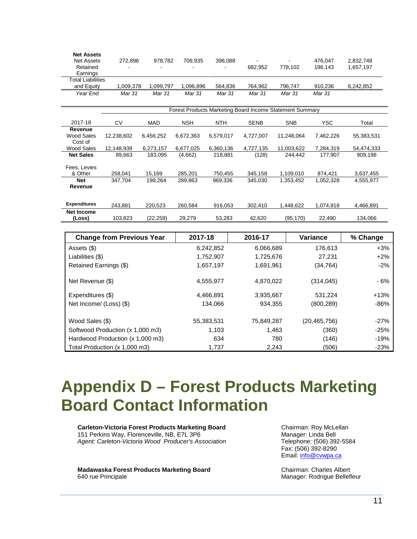| <b>Net Assets</b><br><b>Net Assets</b> | 272,896                                                  | 978,782   | 706,935    | 398,088    |             |            | 476,047    | 2,832,748  |  |  |
|----------------------------------------|----------------------------------------------------------|-----------|------------|------------|-------------|------------|------------|------------|--|--|
| Retained<br>Earnings                   |                                                          |           |            |            | 682,952     | 778,102    | 196,143    | 1,657,197  |  |  |
| <b>Total Liabilities</b>               |                                                          |           |            |            |             |            |            |            |  |  |
| and Equity                             | 1,009,378                                                | 1,099,797 | 1,096,896  | 564,836    | 764,962     | 796,747    | 910,236    | 6,242,852  |  |  |
| Year End                               | Mar 31                                                   | Mar 31    | Mar 31     | Mar 31     | Mar 31      | Mar 31     | Mar 31     |            |  |  |
|                                        |                                                          |           |            |            |             |            |            |            |  |  |
|                                        | Forest Products Marketing Board Income Statement Summary |           |            |            |             |            |            |            |  |  |
| 2017-18                                | CV                                                       | MAD       | <b>NSH</b> | <b>NTH</b> | <b>SENB</b> | <b>SNB</b> | <b>YSC</b> | Total      |  |  |
| Revenue                                |                                                          |           |            |            |             |            |            |            |  |  |
| Wood Sales                             | 12,238,602                                               | 6,456,252 | 6,672,363  | 6,579,017  | 4,727,007   | 11,248,064 | 7,462,226  | 55,383,531 |  |  |
| Cost of                                |                                                          |           |            |            |             |            |            |            |  |  |
| Wood Sales                             | 12,148,939                                               | 6,273,157 | 6,677,025  | 6,360,136  | 4,727,135   | 11,003,622 | 7,284,319  | 54,474,333 |  |  |
| <b>Net Sales</b>                       | 89,663                                                   | 183,095   | (4,662)    | 218,881    | (128)       | 244,442    | 177,907    | 909,198    |  |  |
|                                        |                                                          |           |            |            |             |            |            |            |  |  |
| Fees, Levies<br>& Other                | 258,041                                                  | 15,169    | 285,201    | 750,455    | 345,158     | 1,109,010  | 874,421    | 3,637,455  |  |  |
| <b>Net</b>                             | 347,704                                                  | 198,264   | 289,863    | 969,336    | 345,030     | 1,353,452  | 1,052,328  | 4,555,977  |  |  |
| Revenue                                |                                                          |           |            |            |             |            |            |            |  |  |
|                                        |                                                          |           |            |            |             |            |            |            |  |  |
|                                        |                                                          |           |            |            |             |            |            |            |  |  |
| <b>Expenditures</b>                    | 243,881                                                  | 220,523   | 260,584    | 916,053    | 302,410     | 1,448,622  | 1,074,818  | 4,466,891  |  |  |
| <b>Net Income</b>                      |                                                          |           |            |            |             |            |            |            |  |  |
| (Loss)                                 | 103,823                                                  | (22, 259) | 29,279     | 53,283     | 42,620      | (95, 170)  | 22,490     | 134,066    |  |  |

| <b>Change from Previous Year</b> | 2017-18    | 2016-17    | <b>Variance</b> | % Change |
|----------------------------------|------------|------------|-----------------|----------|
| Assets (\$)                      | 6,242,852  | 6,066,689  | 176,613         | $+3%$    |
| Liabilities (\$)                 | 1,752,907  | 1,725,676  | 27,231          | $+2%$    |
| Retained Earnings (\$)           | 1,657,197  | 1,691,961  | (34, 764)       | $-2%$    |
| Net Revenue (\$)                 | 4,555,977  | 4,870,022  | (314, 045)      | - 6%     |
| Expenditures (\$)                | 4,466,891  | 3,935,667  | 531,224         | $+13%$   |
| Net Income/ (Loss) (\$)          | 134,066    | 934,355    | (800, 289)      | $-86%$   |
| Wood Sales (\$)                  | 55,383,531 | 75,849,287 | (20, 465, 756)  | $-27%$   |
| Softwood Production (x 1,000 m3) | 1,103      | 1,463      | (360)           | $-25%$   |
| Hardwood Production (x 1,000 m3) | 634        | 780        | (146)           | $-19%$   |
| Total Production (x 1,000 m3)    | 1,737      | 2,243      | (506)           | $-23%$   |

## <span id="page-13-0"></span>**Appendix D – Forest Products Marketing Board Contact Information**

**Carleton-Victoria Forest Products Marketing Board** 151 Perkins Way, Florenceville, NB, E7L 3P6 *Agent: Carleton-Victoria Wood Producer's Association*

**Madawaska Forest Products Marketing Board** 640 rue Principale

Chairman: Roy McLellan Manager: Linda Bell Telephone: (506) 392-5584 Fax: (506) 392-8290 Email[: info@cvwpa.ca](mailto:info@cvwpa.ca)

Chairman: Charles Albert Manager: Rodrigue Bellefleur